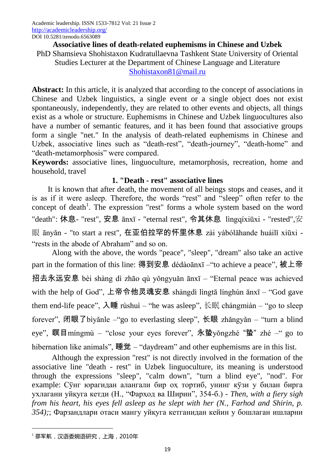### **Associative lines of death-related euphemisms in Chinese and Uzbek** PhD Shamsieva Shohistaxon Kudratullaevna Tashkent State University of Oriental Studies Lecturer at the Department of Chinese Language and Literature [Shohistaxon81@mail.ru](mailto:Shohistaxon81@mail.ru)

**Abstract:** In this article, it is analyzed that according to the concept of associations in Chinese and Uzbek linguistics, a single event or a single object does not exist spontaneously, independently, they are related to other events and objects, all things exist as a whole or structure. Euphemisms in Chinese and Uzbek linguocultures also have a number of semantic features, and it has been found that associative groups form a single "net." In the analysis of death-related euphemisms in Chinese and Uzbek, associative lines such as "death-rest", "death-journey", "death-home" and "death-metamorphosis" were compared.

**Keywords:** associative lines, linguoculture, metamorphosis, recreation, home and household, travel

# **1. "Death - rest" associative lines**

It is known that after death, the movement of all beings stops and ceases, and it is as if it were asleep. Therefore, the words "rest" and "sleep" often refer to the concept of death<sup>1</sup>. The expression "rest" forms a whole system based on the word "death": 休息- "rest", 安息 ānxī - "eternal rest", 令其休息 lìngqíxiūxi - "rested",安 眼 ānyǎn - "to start a rest", 在亚伯拉罕的怀里休息 zài yàbólāhande huáilǐ xiūxi - "rests in the abode of Abraham" and so on.

Along with the above, the words "peace", "sleep", "dream" also take an active part in the formation of this line: 得到安息 dédàoānxī – "to achieve a peace", 被上帝 招去永远安息 bèi shàng dì zhāo qù yǒngyuǎn ānxī – "Eternal peace was achieved with the help of God", 上帝令他灵魂安息 shàngdì lìngtā línghún ānxī – "God gave them end-life peace",  $\lambda \mathbf{H}$  rùshuì – "he was asleep", 长眠 chángmián – "go to sleep forever", 闭眼了bìyǎnle – "go to everlasting sleep", 长眼 zhǎngyǎn – "turn a blind eye", 瞑目míngmù – "close your eyes forever", 永蛰yǒngzhé "蛰" zhé –" go to hibernation like animals",  $\mathbb{H}(\mathbb{Z})$  – "daydream" and other euphemisms are in this list.

Although the expression "rest" is not directly involved in the formation of the associative line "death - rest" in Uzbek linguoculture, its meaning is understood through the expressions "sleep", "calm down", "turn a blind eye", "nod". For example: Сўнг юрагидан алангали бир оҳ тортиб, унинг кўзи у билан бирга ухлагани уйқуга кетди (Н., "Фарҳод ва Ширин", 354-б.) - *Then, with a fiery sigh from his heart, his eyes fell asleep as he slept with her (N., Farhod and Shirin, p. 354);*; Фарзандлари отаси мангу уйқуга кетганидан кейин у бошлаган ишларни

**.** 

 $^{-1}$ 邵军航, 汉语委婉语研究, 上海, 2010年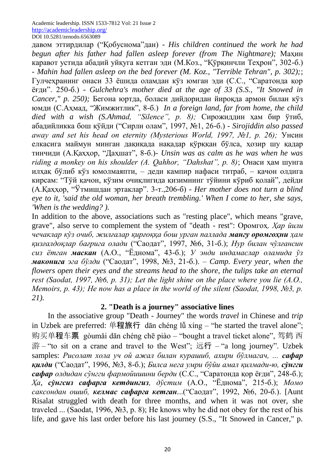давом эттирдилар ("Қобуснома"дан) - *His children continued the work he had begun after his father had fallen asleep forever (from The Nightmare);* Маҳин каравот устида абадий уйқуга кетган эди (М.Коз., "Қўрқинчли Теҳрон", 302-б.) - *Mahin had fallen asleep on the bed forever (M. Koz., "Terrible Tehran", p. 302);*; Гулчеҳранинг онаси 33 ёшида оламдан кўз юмган эди (С.С., "Саратонда қор ёғди". 250-б.) - *Gulchehra's mother died at the age of 33 (S.S., "It Snowed in Cancer," p. 250);* Бегона юртда, боласи дийдоридан йироқда армон билан кўз юмди (С.Аҳмад, "Жимжитлик", 8-б.) *In a foreign land, far from home, the child died with a wish (S.Ahmad, "Silence", p. 8);* Сирожиддин ҳам бир ўтиб, абадийликка бош қўйди ("Сирли олам", 1997, №1, 26-б.) - *Sirojiddin also passed away and set his head on eternity (Mysterious World, 1997, №1, p. 26);* Унсин елкасига маймун минган дақиқада нақадар қўрққан бўлса, ҳозир шу қадар тинчиди (А.Қаҳҳор, "Даҳшат", 8-б.)- *Unsin was as calm as he was when he was riding a monkey on his shoulder (A. Qahhor, "Dahshat", p. 8)*; Онаси ҳам шунга илҳақ бўлиб кўз юмолмаяпти, – деди кампир нафаси титраб, – қачон олдига кирсам: "Тўй қачон, кўзим очиқлигида қизимнинг тўйини кўриб қолай", дейди (А.Қаҳҳор, "Ўтмишдан эртаклар". 3-т.,206-б) - *Her mother does not turn a blind eye to it, 'said the old woman, her breath trembling.' When I come to her, she says, 'When is the wedding? ).*

In addition to the above, associations such as "resting place", which means "grave, grave", also serve to complement the system of "death - rest": Оромгоҳ. *Ҳар йили чечаклар кўз очиб, жилғалар қирғоққа бош урган паллада мангу оромгоҳни ҳам қизғалдоқлар бағрига олади* ("Саодат", 1997, №6, 31-б.); *Нур билан чўлғансин сиз ётган маскан* (А.О., "Ёднома", 43-б.); *У энди индамаслар оламида ўз маконига эга бўлди* ("Саодат", 1998, №3, 21-б.). *– Camp. Every year, when the flowers open their eyes and the streams head to the shore, the tulips take an eternal rest (Saodat, 1997, №6, p. 31); Let the light shine on the place where you lie (A.O., Memoirs, p. 43); He now has a place in the world of the silent (Saodat, 1998, №3, p. 21).*

## **2. "Death is a journey" associative lines**

In the associative group "Death - Journey" the words *travel* in Chinese and *trip* in Uzbek are preferred: 单程旅行 dān chéng lǚ xíng – "he started the travel alone"; 购买单程车票 gòumǎi dān chéng chē piào – "bought a travel ticket alone", 驾鹤 西 游 – "to sit on a crane and travel to the West"; 远行 – "a long journey". Uzbek samples: *Рисолат хола уч ой ажал билан курашиб, ахири бўлмагач, ... сафар қилди* ("Саодат", 1996, №3, 8-б.); *Билса нега умри бўйи амал қилмади-ю, сўнгги сафар олдидан сўнгги фармойишини берди* (С.С., "Саратонда қор ёғди", 248-б.); *Ҳа, сўнгсиз сафарга кетдингиз, дўстим* (А.О., "Ёднома", 215-б.); *Момо саксондан ошиб, келмас сафарга кетган.*..("Саодат", 1992, №6, 20-б.). [Aunt Risalat struggled with death for three months, and when it was not over, she traveled ... (Saodat, 1996, №3, p. 8); He knows why he did not obey for the rest of his life, and gave his last order before his last journey (S.S., "It Snowed in Cancer," p.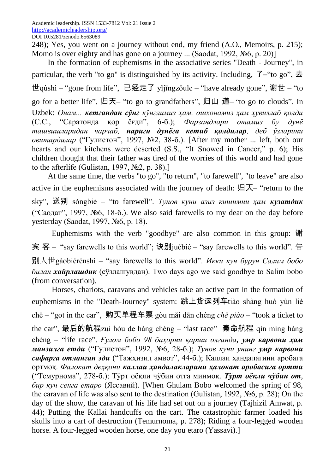248); Yes, you went on a journey without end, my friend (A.O., Memoirs, p. 215); Momo is over eighty and has gone on a journey ... (Saodat, 1992, №6, p. 20)]

In the formation of euphemisms in the associative series "Death - Journey", in particular, the verb "to go" is distinguished by its activity. Including,  $7$ -"to go",  $\pm$ 世qùshì – "gone from life", 已经走了 yǐjīngzǒule – "have already gone", 谢世 – "to go for a better life", 归天– "to go to grandfathers", 归山 道– "to go to clouds". In Uzbek: *Онам... кетгандан сўнг кўнглимиз ҳам, ошхонамиз ҳам ҳувиллаб қолди* (С.С., "Саратонда қор ёғди", 6-б.); *Фарзандлари отамиз бу дунё ташвишларидан чарчаб, нариги дунёга кетиб қолдилар, деб ўзларини овитардилар* ("Гулистон", 1997, №2, 38-б.). [After my mother ... left, both our hearts and our kitchens were deserted (S.S., "It Snowed in Cancer," p. 6); His children thought that their father was tired of the worries of this world and had gone to the afterlife (Gulistan, 1997,  $\mathcal{N}$ <sup>2</sup>, p. 38).]

At the same time, the verbs "to go", "to return", "to farewell", "to leave" are also active in the euphemisms associated with the journey of death:  $\mathbb{H}$   $\overline{\mathcal{F}}$  – "return to the sky", 送别 sòngbié – "to farewell". *Тунов куни азиз кишимни ҳам кузатдик* ("Саодат", 1997, №6, 18-б.). We also said farewells to my dear on the day before yesterday (Saodat, 1997, №6, p. 18).

Euphemisms with the verb "goodbye" are also common in this group: 谢 宾 客 – "say farewells to this world"; 诀别juébié – "say farewells to this world". 告 别人世gàobiérénshì – "say farewells to this world". *Икки кун бурун Салим бобо билан хайрлашдик* (сўзлашувдан). Two days ago we said goodbye to Salim bobo (from conversation).

Horses, chariots, caravans and vehicles take an active part in the formation of euphemisms in the "Death-Journey" system: 跳上货运列车tiào shàng huò yùn liè chē – "got in the car", 购买单程车票 gòu mǎi dān chéng *chē piào* – "took a ticket to the car", 最后的航程zuì hòu de háng chéng – "last race" 秦命航程 qín mìng háng chéng – "life race". *Ғулом бобо 98 баҳорни қарши олганда, умр карвони ҳам манзилга етди* ("Гулистон", 1992, №6, 28-б.); *Тунов куни унинг умр карвони сафарга отланган эди* ("Тажҳизил амвот", 44-б.); Каллаи ҳандалагини аробага ортмоқ. *Фалокат деҳқони каллаи ҳандалакларини ҳалокат аробасига ортти* ("Темурнома", 278-б.); Тўрт оёқли чўбин отга минмоқ. *Тўрт оёқли чўбин от, бир кун сенга етаро* (Яссавий). [When Ghulam Bobo welcomed the spring of 98, the caravan of life was also sent to the destination (Gulistan, 1992, №6, p. 28); On the day of the show, the caravan of his life had set out on a journey (Tajhizil Amwat, p. 44); Putting the Kallai handcuffs on the cart. The catastrophic farmer loaded his skulls into a cart of destruction (Temurnoma, p. 278); Riding a four-legged wooden horse. A four-legged wooden horse, one day you etaro (Yassavi).]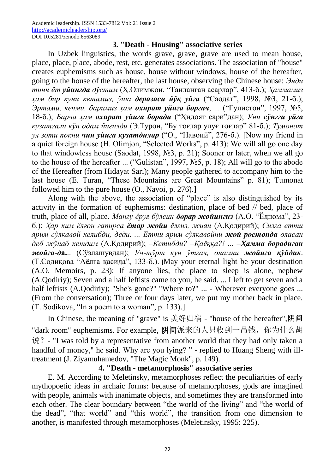### **3. "Death - Housing" associative series**

In Uzbek linguistics, the words grave, grave, grave are used to mean house, place, place, place, abode, rest, etc. generates associations. The association of "house" creates euphemisms such as house, house without windows, house of the hereafter, going to the house of the hereafter, the last house, observing the Chinese house: *Энди тинч ёт уйингда дўстим* (Ҳ.Олимжон, "Танланган асарлар", 413-б.); *Ҳаммамиз ҳам бир куни кетамиз, ўша деразаси йўқ уйга* ("Саодат", 1998, №3, 21-б.); *Эртами, кечми, баримиз ҳам охират уйига боргач*, ... ("Гулистон", 1997, №5, 18-б.); *Барча ҳам охират уйига боради* ("Ҳидоят сари"дан); *Уни сўнгги уйга кузатгали кўп одам йиғилди* (Э.Турон, "Бу тоғлар улуғ тоғлар" 81-б.); *Тумонот ул зоти покни чин уйига кузатдилар* ("О., "Навоий", 276-б.). [Now my friend in a quiet foreign house (H. Olimjon, "Selected Works", p. 413); We will all go one day to that windowless house (Saodat, 1998, №3, p. 21); Sooner or later, when we all go to the house of the hereafter ... ("Gulistan", 1997, №5, p. 18); All will go to the abode of the Hereafter (from Hidayat Sari); Many people gathered to accompany him to the last house (E. Turan, "These Mountains are Great Mountains" p. 81); Tumonat followed him to the pure house (O., Navoi, p. 276).]

Along with the above, the association of "place" is also distinguished by its activity in the formation of euphemisms: destination, place of bed // bed, place of truth, place of all, place. *Мангу ёруғ бўлсин борар жойингиз* (А.О. "Ёднома", 23 б.); *Ҳар ким ёлғон гапирса ётар жойи ёлғиз, жиян* (А.Қодирий); *Сизга етти ярим сўлкавой келибди, деди. ... Етти ярим сўлкавойни жой ростонда оласан деб жўнаб кетдим* (А.Қодирий); *–Кетибди? –Қаёққа?! ... –Ҳамма борадиган жойга-д***а.**.. (Сўзлашувдан); *Уч-тўрт кун ўтгач, онамни жойига қўйдик*. (Т.Содиқова "Аёлга қасида", 133-б.). [May your eternal light be your destination (A.O. Memoirs, p. 23); If anyone lies, the place to sleep is alone, nephew (A.Qodiriy); Seven and a half leftists came to you, he said. ... I left to get seven and a half leftists (A.Qodiriy); "She's gone?" "Where to?" ... - Wherever everyone goes ... (From the conversation); Three or four days later, we put my mother back in place. (T. Sodikova, "In a poem to a woman", p. 133).]

In Chinese, the meaning of "grave" is 美好归宿 - "house of the hereafter",阴间 "dark room" euphemisms. For example, 阴间派来的人只收到一吊钱, 你为什么胡  $\mathcal{H}$ ? - "I was told by a representative from another world that they had only taken a handful of money," he said. Why are you lying? " - replied to Huang Sheng with illtreatment (J. Ziyamuhamedov, "The Magic Monk", p. 149).

## **4. "Death - metamorphosis" associative series**

E. M. According to Meletinsky, metamorphoses reflect the peculiarities of early mythopoetic ideas in archaic forms: because of metamorphoses, gods are imagined with people, animals with inanimate objects, and sometimes they are transformed into each other. The clear boundary between "the world of the living" and "the world of the dead", "that world" and "this world", the transition from one dimension to another, is manifested through metamorphoses (Meletinsky, 1995: 225).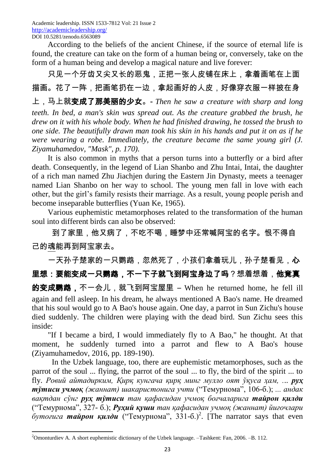According to the beliefs of the ancient Chinese, if the source of eternal life is found, the creature can take on the form of a human being or, conversely, take on the form of a human being and develop a magical nature and live forever:

只见一个牙齿又尖又长的恶鬼,正把一张人皮铺在床上,拿着画笔在上面 描画。花了一阵,把画笔扔在一边,拿起画好的人皮,好像穿衣服一样披在身

上,马上就变成了那美丽的少女。- *Then he saw a creature with sharp and long teeth. In bed, a man's skin was spread out. As the creature grabbed the brush, he drew on it with his whole body. When he had finished drawing, he tossed the brush to one side. The beautifully drawn man took his skin in his hands and put it on as if he were wearing a robe. Immediately, the creature became the same young girl (J. Ziyamuhamedov, "Mask", p. 170).*

It is also common in myths that a person turns into a butterfly or a bird after death. Consequently, in the legend of Lian Shanbo and Zhu Intai, Intai, the daughter of a rich man named Zhu Jiachjen during the Eastern Jin Dynasty, meets a teenager named Lian Shanbo on her way to school. The young men fall in love with each other, but the girl's family resists their marriage. As a result, young people perish and become inseparable butterflies (Yuan Ke, 1965).

Various euphemistic metamorphoses related to the transformation of the human soul into different birds can also be observed:

到了家里,他又病了,不吃不喝,睡梦中还常喊阿宝的名字。恨不得自 己的魂能再到阿宝家去。

一天孙子楚家的一只鹦鹉,忽然死了,小孩们拿着玩儿,孙子楚看见,心 里想:要能变成一只鹦鹉,不一下子就飞到阿宝身边了吗?想着想着,他竟真 的变成鹦鹉,不一会儿,就飞到阿宝屋里 — When he returned home, he fell ill again and fell asleep. In his dream, he always mentioned A Bao's name. He dreamed that his soul would go to A Bao's house again. One day, a parrot in Sun Zichu's house died suddenly. The children were playing with the dead bird. Sun Zichu sees this inside:

"If I became a bird, I would immediately fly to A Bao," he thought. At that moment, he suddenly turned into a parrot and flew to A Bao's house (Ziyamuhamedov, 2016, pp. 189-190).

In the Uzbek language, too, there are euphemistic metamorphoses, such as the parrot of the soul ... flying, the parrot of the soul ... to fly, the bird of the spirit ... to fly. *Ровий айтадирким, Қирқ кунгача қирқ минг мулло оят ўқуса ҳам, ... руҳ тўтиси учмоқ (жаннат) шакаристонига учти* ("Темурнома", 106-б.); *... андак вақтдан сўнг руҳ тўтиси тан қафасидан учмоқ боғчаларига тайрон қилди* ("Темурнома", 327- б.); *Руҳий қуши тан қафасидан учмоқ (жаннат) йиғочлари*   $\delta$ уто*гига* тайрон қилди ("Темурнома", 331-б.)<sup>2</sup>. [The narrator says that even

**.** 

<sup>&</sup>lt;sup>2</sup>Omonturdiev A. A short euphemistic dictionary of the Uzbek language. -Tashkent: Fan, 2006. -B. 112.